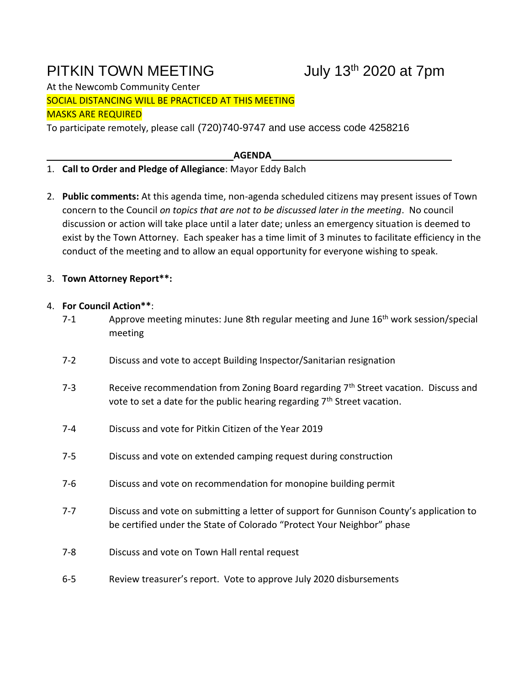# PITKIN TOWN MEETING July 13<sup>th</sup> 2020 at 7pm

At the Newcomb Community Center SOCIAL DISTANCING WILL BE PRACTICED AT THIS MEETING MASKS ARE REQUIRED

To participate remotely, please call (720)740-9747 and use access code 4258216

**AGENDA**

## 1. **Call to Order and Pledge of Allegiance**: Mayor Eddy Balch

2. **Public comments:** At this agenda time, non-agenda scheduled citizens may present issues of Town concern to the Council *on topics that are not to be discussed later in the meeting*. No council discussion or action will take place until a later date; unless an emergency situation is deemed to exist by the Town Attorney. Each speaker has a time limit of 3 minutes to facilitate efficiency in the conduct of the meeting and to allow an equal opportunity for everyone wishing to speak.

## 3. **Town Attorney Report\*\*:**

## 4. **For Council Action\*\***:

- 7-1 Approve meeting minutes: June 8th regular meeting and June 16<sup>th</sup> work session/special meeting
- 7-2 Discuss and vote to accept Building Inspector/Sanitarian resignation
- 7-3 Receive recommendation from Zoning Board regarding  $7<sup>th</sup>$  Street vacation. Discuss and vote to set a date for the public hearing regarding  $7<sup>th</sup>$  Street vacation.
- 7-4 Discuss and vote for Pitkin Citizen of the Year 2019
- 7-5 Discuss and vote on extended camping request during construction
- 7-6 Discuss and vote on recommendation for monopine building permit
- 7-7 Discuss and vote on submitting a letter of support for Gunnison County's application to be certified under the State of Colorado "Protect Your Neighbor" phase
- 7-8 Discuss and vote on Town Hall rental request
- 6-5 Review treasurer's report. Vote to approve July 2020 disbursements